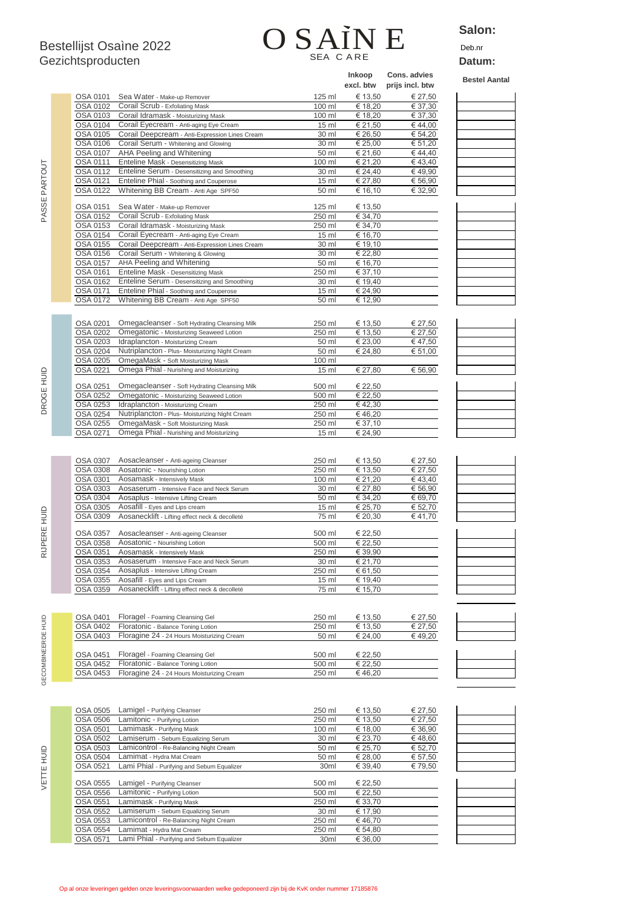# Bestellijst Osaìne 2022  $\qquad \qquad \textbf{OSAIN E} \qquad \frac{\textbf{SAL}}{\textbf{Deb}. \textbf{N}}$ SEA C A RE

### **Salon:**

| Gezichtsproducten  |                      |                                                                                     | SEA CARE         |                            |                                 | Datum:               |  |
|--------------------|----------------------|-------------------------------------------------------------------------------------|------------------|----------------------------|---------------------------------|----------------------|--|
|                    |                      |                                                                                     |                  | <b>Inkoop</b><br>excl. btw | Cons. advies<br>prijs incl. btw | <b>Bestel Aantal</b> |  |
|                    | OSA 0101             | Sea Water - Make-up Remover                                                         | 125 ml           | € 13,50                    | € 27,50                         |                      |  |
|                    | OSA 0102             | Corail Scrub - Exfoliating Mask                                                     | 100 ml           | € 18,20                    | € 37,30                         |                      |  |
|                    | OSA 0103             | Corail Idramask - Moisturizing Mask                                                 | 100 ml           | € 18,20                    | € 37,30                         |                      |  |
|                    | OSA 0104             | Corail Eyecream - Anti-aging Eye Cream                                              | 15 <sub>ml</sub> | € 21,50                    | €44,00                          |                      |  |
|                    | OSA 0105             | Corail Deepcream - Anti-Expression Lines Cream                                      | 30 ml            | € 26,50                    | € 54,20                         |                      |  |
|                    | OSA 0106             | Corail Serum - Whitening and Glowing                                                | 30 ml            | € 25,00                    | € 51,20                         |                      |  |
|                    | OSA 0107<br>OSA 0111 | AHA Peeling and Whitening<br>Enteline Mask - Desensitizing Mask                     | 50 ml<br>100 ml  | € 21,60<br>€ 21,20         | €44,40<br>€43,40                |                      |  |
|                    | OSA 0112             | Enteline Serum - Desensitizing and Smoothing                                        | 30 ml            | € 24,40                    | €49,90                          |                      |  |
|                    | OSA 0121             | Enteline Phial - Soothing and Couperose                                             | 15 <sub>ml</sub> | € 27,80                    | € 56,90                         |                      |  |
|                    | OSA 0122             | Whitening BB Cream - Anti Age SPF50                                                 | 50 ml            | € 16,10                    | € 32,90                         |                      |  |
| PASSE PARTOUT      |                      |                                                                                     |                  |                            |                                 |                      |  |
|                    | OSA 0151             | Sea Water - Make-up Remover                                                         | 125 ml           | € 13,50                    |                                 |                      |  |
|                    | OSA 0152             | Corail Scrub - Exfoliating Mask                                                     | 250 ml           | € 34,70                    |                                 |                      |  |
|                    | OSA 0153             | Corail Idramask - Moisturizing Mask                                                 | 250 ml           | € 34,70                    |                                 |                      |  |
|                    | OSA 0154             | Corail Eyecream - Anti-aging Eye Cream                                              | 15 <sub>ml</sub> | € 16,70                    |                                 |                      |  |
|                    | OSA 0155             | Corail Deepcream - Anti-Expression Lines Cream                                      | 30 ml            | € 19,10                    |                                 |                      |  |
|                    | OSA 0156             | Corail Serum - Whitening & Glowing                                                  | 30 ml            | € 22,80                    |                                 |                      |  |
|                    | OSA 0157<br>OSA 0161 | AHA Peeling and Whitening                                                           | 50 ml            | € 16,70                    |                                 |                      |  |
|                    | OSA 0162             | Enteline Mask - Desensitizing Mask<br>Enteline Serum - Desensitizing and Smoothing  | 250 ml<br>30 ml  | € 37,10<br>€ 19,40         |                                 |                      |  |
|                    | OSA 0171             | Enteline Phial - Soothing and Couperose                                             | 15 <sub>ml</sub> | € 24,90                    |                                 |                      |  |
|                    | OSA 0172             | Whitening BB Cream - Anti Age SPF50                                                 | 50 ml            | € 12,90                    |                                 |                      |  |
|                    |                      |                                                                                     |                  |                            |                                 |                      |  |
|                    |                      |                                                                                     |                  |                            |                                 |                      |  |
|                    | OSA 0201             | Omegacleanser - Soft Hydrating Cleansing Milk                                       | 250 ml           | € 13,50                    | € 27,50                         |                      |  |
|                    | OSA 0202             | Omegatonic - Moisturizing Seaweed Lotion                                            | 250 ml           | € 13,50                    | € 27,50                         |                      |  |
|                    | OSA 0203<br>OSA 0204 | Idraplancton - Moisturizing Cream<br>Nutriplancton - Plus- Moisturizing Night Cream | 50 ml<br>50 ml   | € 23,00<br>€ 24,80         | €47,50<br>€ 51,00               |                      |  |
|                    | OSA 0205             | OmegaMask - Soft Moisturizing Mask                                                  | 100 ml           |                            |                                 |                      |  |
|                    | OSA 0221             | Omega Phial - Nurishing and Moisturizing                                            | 15 <sub>ml</sub> | € 27,80                    | € 56,90                         |                      |  |
| DROGE HUID         |                      |                                                                                     |                  |                            |                                 |                      |  |
|                    | OSA 0251             | Omegacleanser - Soft Hydrating Cleansing Milk                                       | 500 ml           | € 22,50                    |                                 |                      |  |
|                    | OSA 0252             | Omegatonic - Moisturizing Seaweed Lotion                                            | 500 ml           | € 22,50                    |                                 |                      |  |
|                    | OSA 0253             | Idraplancton - Moisturizing Cream                                                   | 250 ml           | €42,30                     |                                 |                      |  |
|                    | OSA 0254             | Nutriplancton - Plus- Moisturizing Night Cream                                      | 250 ml           | € 46,20                    |                                 |                      |  |
|                    | OSA 0255             | OmegaMask - Soft Moisturizing Mask                                                  | 250 ml           | € 37,10                    |                                 |                      |  |
|                    | OSA 0271             | Omega Phial - Nurishing and Moisturizing                                            | 15 <sub>ml</sub> | € 24,90                    |                                 |                      |  |
|                    |                      |                                                                                     |                  |                            |                                 |                      |  |
|                    | OSA 0307             | Aosacleanser - Anti-ageing Cleanser                                                 | 250 ml           | € 13,50                    | € 27,50                         |                      |  |
|                    | OSA 0308             | Aosatonic - Nourishing Lotion                                                       | 250 ml           | € 13,50                    | € 27,50                         |                      |  |
|                    | OSA 0301             | Aosamask - Intensively Mask                                                         | 100 ml           | € 21,20                    | €43,40                          |                      |  |
|                    | OSA 0303             | Aosaserum - Intensive Face and Neck Serum                                           | 30 ml            | € 27,80                    | € 56,90                         |                      |  |
|                    | OSA 0304             | Aosaplus - Intensive Lifting Cream                                                  | 50 ml            | € 34,20                    | € 69,70                         |                      |  |
|                    | OSA 0305             | Aosafill - Eyes and Lips cream                                                      | 15 <sub>ml</sub> | € 25,70                    | € 52,70                         |                      |  |
| <b>SHOH</b>        | OSA 0309             | Aosanecklift - Lifting effect neck & decolleté                                      | 75 ml            | € 20,30                    | €41,70                          |                      |  |
| RE I               |                      |                                                                                     |                  |                            |                                 |                      |  |
|                    |                      | OSA 0357 Aosacleanser - Anti-ageing Cleanser                                        | 500 ml           | € 22.50                    |                                 |                      |  |
| <b>RIJPER</b>      | OSA 0358             | Aosatonic - Nourishing Lotion                                                       | 500 ml           | € 22,50                    |                                 |                      |  |
|                    | OSA 0351             | Aosamask - Intensively Mask                                                         | 250 ml           | € 39,90                    |                                 |                      |  |
|                    | OSA 0353<br>OSA 0354 | Aosaserum - Intensive Face and Neck Serum<br>Aosaplus - Intensive Lifting Cream     | 30 ml<br>250 ml  | € 21,70<br>€ 61,50         |                                 |                      |  |
|                    | OSA 0355             | Aosafill - Eyes and Lips Cream                                                      | 15 <sub>ml</sub> | € 19,40                    |                                 |                      |  |
|                    | OSA 0359             | Aosanecklift - Lifting effect neck & decolleté                                      | 75 ml            | € 15,70                    |                                 |                      |  |
|                    |                      |                                                                                     |                  |                            |                                 |                      |  |
|                    |                      |                                                                                     |                  |                            |                                 |                      |  |
|                    | OSA 0401             | Floragel - Foaming Cleansing Gel                                                    | 250 ml           | € 13,50                    | € 27,50                         |                      |  |
|                    | OSA 0402             | Floratonic - Balance Toning Lotion                                                  | 250 ml           | € 13,50                    | € 27,50                         |                      |  |
|                    | OSA 0403             | Floragine 24 - 24 Hours Moisturizing Cream                                          | 50 ml            | € 24,00                    | €49,20                          |                      |  |
| GECOMBINEERDE HUID |                      |                                                                                     |                  |                            |                                 |                      |  |
|                    | OSA 0451             | Floragel - Foaming Cleansing Gel                                                    | 500 ml           | € 22,50                    |                                 |                      |  |
|                    | OSA 0452             | Floratonic - Balance Toning Lotion                                                  | 500 ml           | € 22,50                    |                                 |                      |  |
|                    | OSA 0453             | Floragine 24 - 24 Hours Moisturizing Cream                                          | 250 ml           | €46,20                     |                                 |                      |  |
|                    |                      |                                                                                     |                  |                            |                                 |                      |  |
|                    |                      |                                                                                     |                  |                            |                                 |                      |  |
|                    | OSA 0505             |                                                                                     | 250 ml           | € 13,50                    |                                 |                      |  |
|                    | OSA 0506             | Lamigel - Purifying Cleanser<br>Lamitonic - Purifying Lotion                        | 250 ml           | € 13,50                    | € 27,50<br>€ 27,50              |                      |  |
|                    | OSA 0501             | Lamimask - Purifying Mask                                                           | 100 ml           | € 18,00                    | € 36,90                         |                      |  |
|                    | OSA 0502             | Lamiserum - Sebum Equalizing Serum                                                  | 30 ml            | € 23,70                    | €48,60                          |                      |  |
|                    | <b>OSA 0503</b>      | Lamicontrol - Re-Balancing Night Cream                                              | 50 ml            | € 25,70                    | € 52,70                         |                      |  |
|                    | OSA 0504             | Lamimat - Hydra Mat Cream                                                           | 50 ml            | € 28,00                    | € 57,50                         |                      |  |
|                    | OSA 0521             | Lami Phial - Purifying and Sebum Equalizer                                          | 30ml             | € 39,40                    | € 79,50                         |                      |  |
| VETTE HUID         |                      |                                                                                     |                  |                            |                                 |                      |  |
|                    | OSA 0555             | Lamigel - Purifying Cleanser                                                        | 500 ml           | € 22,50                    |                                 |                      |  |
|                    | OSA 0556             | Lamitonic - Purifying Lotion                                                        | 500 ml           | € 22,50                    |                                 |                      |  |
|                    | OSA 0551             | Lamimask - Purifying Mask                                                           | 250 ml           | € 33,70                    |                                 |                      |  |

PASSE PARTOUT

OSA 0552 Lamiserum - Sebum Equalizing Serum 30 ml € 17,90 OSA 0553 Lamicontrol - Re-Balancing Night Cream 250 ml € 46,70 OSA 0554 Lamimat - Hydra Mat Cream 250 ml € 54,80 OSA 0571 Lami Phial - Purifying and Sebum Equalizer 30ml € 36,00